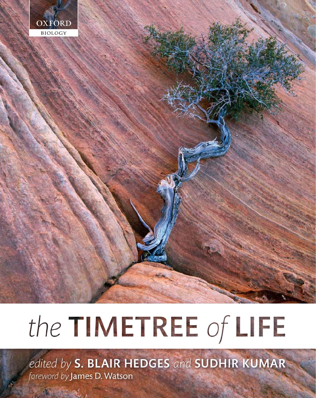

# the TIMETREE of LIFE

edited by S. BLAIR HEDGES and SUDHIR KUMAR foreword by James D. Watson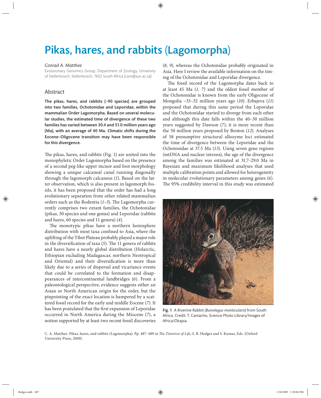# Pikas, hares, and rabbits (Lagomorpha)

## *Conrad A. Matthee*

Evolutionary Genomics Group, Department of Zoology, University of Stellenbosch, Stellenbosch, 7602 South Africa (cam@sun.ac.za)

# Abstract

The pikas, hares, and rabbits  $(\sim 90$  species) are grouped into two families, Ochotonidae and Leporidae, within the mammalian Order Lagomorpha. Based on several molecular studies, the estimated time of divergence of these two families has varied between 30.4 and 51.0 million years ago (Ma), with an average of 40 Ma. Climatic shifts during the Eocene–Oligocene transition may have been responsible for this divergence.

The pikas, hares, and rabbits (Fig. 1) are united into the monophyletic Order Lagomorpha based on the presence of a second peg-like upper incisor and foot morphology showing a unique calcaneal canal running diagonally through the lagomorph calcaneus (*1*). Based on the latter observation, which is also present in lagomorph fossils, it has been proposed that the order has had a long evolutionary separation from other related mammalian orders such as the Rodentia (1-3). The Lagomorpha currently comprises two extant families, the Ochotonidae (pikas, 30 species and one genus) and Leporidae (rabbits and hares, 60 species and 11 genera) (*4*).

The monotypic pikas have a northern hemisphere distribution with most taxa confined to Asia, where the uplifting of the Tibet Plateau probably played a major role in the diversification of taxa (5). The 11 genera of rabbits and hares have a nearly global distribution (Holarctic, Ethiopian excluding Madagascar, northern Neotropical and Oriental) and their diversification is more than likely due to a series of dispersal and vicariance events that could be correlated to the formation and disappearances of intercontinental landbridges (*6*). From a paleontological perspective, evidence suggests either an Asian or North American origin for the order, but the pinpointing of the exact location is hampered by a scattered fossil record for the early and middle Eocene (*7*). It has been postulated that the first expansion of Leporidae occurred in North America during the Miocene (7), a notion supported by at least two recent fossil discoveries (*8, 9*), whereas the Ochotonidae probably originated in Asia. Here I review the available information on the timing of the Ochotonidae and Leporidae divergence.

The fossil record of the Lagomorpha dates back to at least 45 Ma (*1, 7*) and the oldest fossil member of the Ochotonidae is known from the early Oligocene of Mongolia ~33–32 million years ago (*10*). Erbajeva (*11*) proposed that during this same period the Leporidae and the Ochotonidae started to diverge from each other and although this date falls within the 40–30 million years suggested by Dawson (*7*), it is more recent than the 50 million years proposed by Benton (*12*). Analyses of 58 presumptive structural allozyme loci estimated the time of divergence between the Leporidae and the Ochotonidae at 37.5 Ma (*13*). Using seven gene regions (mtDNA and nuclear introns), the age of the divergence among the families was estimated at 31.7–29.0 Ma in Bayesian and maximum likelihood analyses that used multiple calibration points and allowed for heterogeneity in molecular evolutionary parameters among genes (*6*). The 95% credibility interval in this study was estimated



Fig. 1 A Riverine Rabbit (*Bunolagus monticularis*) from South Africa. Credit: T. Camacho, Science Photo Library/Images of Africa/Okapia.

C. A. Matthee. Pikas, hares, and rabbits (Lagomorpha). Pp. 487-489 in *The Timetree of Life*, S. B. Hedges and S. Kumar, Eds. (Oxford University Press, 2009).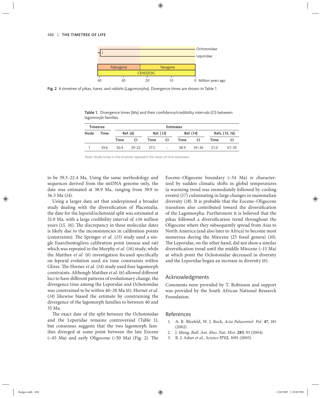

Fig. 2 A timetree of pikas, hares, and rabbits (Lagomorpha). Divergence times are shown in Table 1.

Table 1. Divergence times (Ma) and their confidence/credibility intervals (CI) between lagomorph families.

| <b>Timetree</b> |      | <b>Estimates</b> |           |           |                          |           |       |                |           |
|-----------------|------|------------------|-----------|-----------|--------------------------|-----------|-------|----------------|-----------|
| Node            | Time | Ref. (6)         |           | Ref. (13) |                          | Ref. (14) |       | Refs. (15, 16) |           |
|                 |      | Time             | <b>CI</b> | Time      | CI                       | Time      | CI    | Time           | CI        |
|                 | 39.6 | 304              | $39 - 22$ | 375       | $\overline{\phantom{a}}$ | 389       | 39–36 | 51 O           | $67 - 35$ |

Note: Node times in the timetree represent the mean of time estimates.

to be 39.3–22.4 Ma. Using the same methodology and sequences derived from the mtDNA genome only, the date was estimated at 38.9 Ma, ranging from 39.9 to 36.3 Ma (*14*).

Using a larger data set that underpinned a broader study dealing with the diversification of Placentalia, the date for the leporid/ochotonid split was estimated at 51.0 Ma, with a large credibility interval of  $\pm 16$  million years (15, 16). The discrepancy in these molecular dates is likely due to the inconsistencies in calibration points (constraints). The Springer *et al.* (15) study used a single Euarchontoglires calibration point (mouse and rat) which was repeated in the Murphy *et al.* (*16*) study, while the Matthee *et al.* (6) investigation focused specifically on leporid evolution used six time constraints within Glires. The Horner *et al.* (14) study used four lagomorph constraints. Although Matthee et al. (6) allowed different loci to have different patterns of evolutionary change, the divergence time among the Leporidae and Ochotonidae was constrained to be within 40–20 Ma (*6*). Horner *et al.* (*14*) likewise biased the estimate by constraining the divergence of the lagomorph families to between 40 and 35 Ma.

The exact date of the split between the Ochotonidae and the Leporidae remains controversial (Table 1), but consensus suggests that the two lagomorph families diverged at some point between the late Eocene  $(\sim 45$  Ma) and early Oligocene  $(\sim 30$  Ma) (Fig. 2). The Eocene-Oligocene boundary (~34 Ma) is characterized by sudden climatic shifts in global temperatures (a warming trend was immediately followed by cooling events) (*17*) culminating in large changes in mammalian diversity (*18*). It is probable that the Eocene–Oligocene transition also contributed toward the diversification of the Lagomorpha. Furthermore it is believed that the pikas followed a diversification trend throughout the Oligocene where they subsequently spread from Asia to North America (and also later to Africa) to become most numerous during the Miocene (25 fossil genera) (10). The Leporidae, on the other hand, did not show a similar diversification trend until the middle Miocene  $(\sim 15$  Ma) at which point the Ochotonidae decreased in diversity and the Leporidae began an increase in diversity (*6*).

#### Acknowledgments

Comments were provided by T. Robinson and support was provided by the South African National Research Foundation.

### References

- 1. A. R. Bleefeld, W. J. Bock, *Acta Palaeontol. Pol.* **47**, 181 (2002).
- 2. J. Meng, *Bull. Am. Mus. Nat. Hist.* **285**, 93 (2004).
- 3. R. J. Asher *et al.*, *Science* **5712**, 1091 (2005).